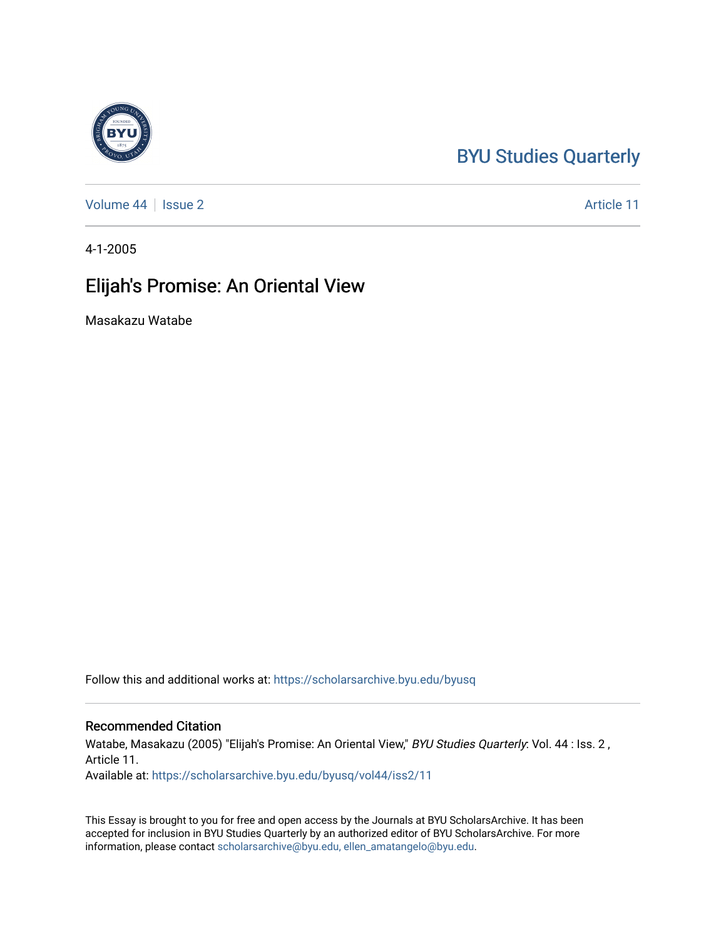## [BYU Studies Quarterly](https://scholarsarchive.byu.edu/byusq)

[Volume 44](https://scholarsarchive.byu.edu/byusq/vol44) | [Issue 2](https://scholarsarchive.byu.edu/byusq/vol44/iss2) Article 11

4-1-2005

## Elijah's Promise: An Oriental View

Masakazu Watabe

Follow this and additional works at: [https://scholarsarchive.byu.edu/byusq](https://scholarsarchive.byu.edu/byusq?utm_source=scholarsarchive.byu.edu%2Fbyusq%2Fvol44%2Fiss2%2F11&utm_medium=PDF&utm_campaign=PDFCoverPages) 

## Recommended Citation

Watabe, Masakazu (2005) "Elijah's Promise: An Oriental View," BYU Studies Quarterly: Vol. 44 : Iss. 2, Article 11. Available at: [https://scholarsarchive.byu.edu/byusq/vol44/iss2/11](https://scholarsarchive.byu.edu/byusq/vol44/iss2/11?utm_source=scholarsarchive.byu.edu%2Fbyusq%2Fvol44%2Fiss2%2F11&utm_medium=PDF&utm_campaign=PDFCoverPages) 

This Essay is brought to you for free and open access by the Journals at BYU ScholarsArchive. It has been accepted for inclusion in BYU Studies Quarterly by an authorized editor of BYU ScholarsArchive. For more information, please contact [scholarsarchive@byu.edu, ellen\\_amatangelo@byu.edu.](mailto:scholarsarchive@byu.edu,%20ellen_amatangelo@byu.edu)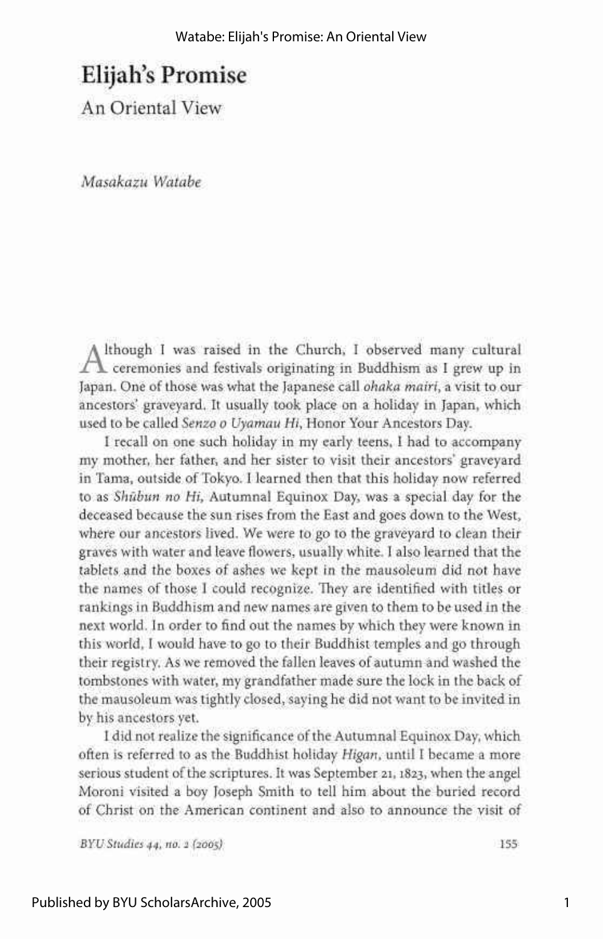## Elijah's Promise

An Oriental View

*Masakazu Watabe* 

 $A$ though I was raised in the Church, I observed many cultural ceremonies and festivals originating in Buddhism as I grew up in \_ ceremonies and festivals originating in Buddhism as I grew up in Japan. One of those was what the Japanese call *ohaka mairi,* a visit to our ancestors' graveyard. It usually took place on a holiday in Japan, which used to be called *Senzo o Uyamau Hi,* Honor Your Ancestors Day.

I recall on one such holiday in my early teens, I had to accompany my mother, her father, and her sister to visit their ancestors' graveyard in Tama, outside of Tokyo. I learned then that this holiday now referred to as *Shubun no Hi,* Autumnal Equinox Day, was a special day for the deceased because the sun rises from the East and goes down to the West, where our ancestors lived. We were to go to the graveyard to clean their graves with water and leave flowers, usually white. I also learned that the tablets and the boxes of ashes we kept in the mausoleum did not have the names of those I could recognize. They are identified with titles or rankings in Buddhism and new names are given to them to be used in the next world. In order to find out the names by which they were known in this world, I would have to go to their Buddhist temples and go through their registry. As we removed the fallen leaves of autumn and washed the tombstones with water, my grandfather made sure the lock in the back of the mausoleum was tightly closed, saying he did not want to be invited in by his ancestors yet.

I did not realize the significance of the Autumnal Equinox Day, which often is referred to as the Buddhist holiday *Higan,* until I became a more serious student of the scriptures. It was September 21, 1823, when the angel Moroni visited a boy Joseph Smith to tell him about the buried record of Christ on the American continent and also to announce the visit of

*BYU Studies 44, no. 2 (2005)* 155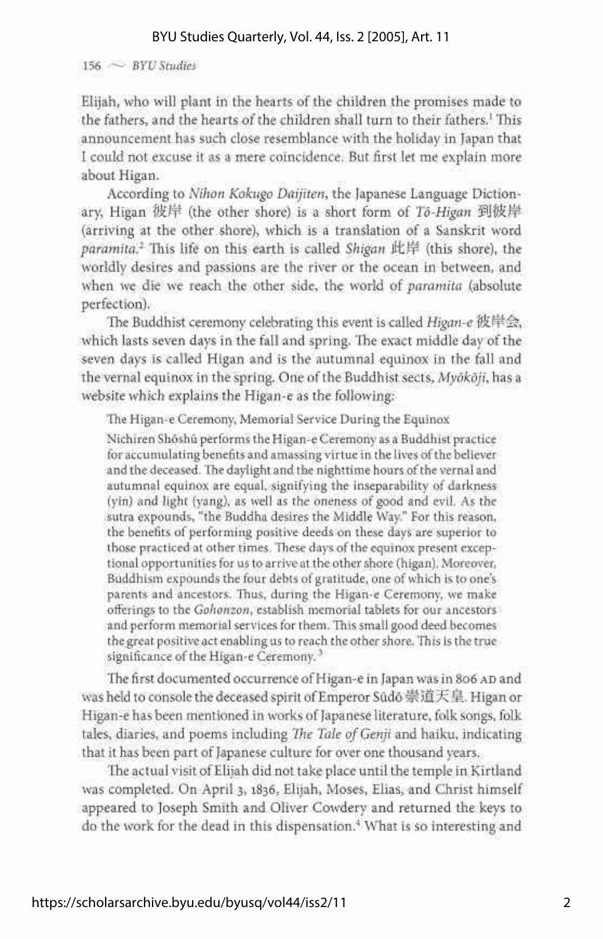156  $\sim$  BYU Studies

Elijah, who will plant in the hearts of the children the promises made to the fathers, and the hearts of the children shall turn to their fathers.<sup>1</sup> This announcement has such close resemblance with the holiday in Japan that I could not excuse it as a mere coincidence. But first let me explain more about Higan.

According to *Nihon Kokugo Daijiten,* the Japanese Language Dictionary, Higan 彼岸 (the other shore) is a short form of To-Higan 到彼岸 (arriving at the other shore), which is a translation of a Sanskrit word *paramita.<sup>2</sup>* This life on this earth is called *Shigan ifcj^* (this shore), the worldly desires and passions are the river or the ocean in between, and when we die we reach the other side, the world of *paramita* (absolute perfection).

The Buddhist ceremony celebrating this event is called *Higan-e* 彼岸会, which lasts seven days in the fall and spring. The exact middle day of the seven days is called Higan and is the autumnal equinox in the fall and the vernal equinox in the spring. One of the Buddhist sects, *Myokdji,* has a website which explains the Higan-e as the following:

The Higan-e Ceremony, Memorial Service During the Equinox

Nichiren Shoshu performs the Higan-e Ceremony as a Buddhist practice for accumulating benefits and amassing virtue in the lives of the believer and the deceased. The daylight and the nighttime hours of the vernal and autumnal equinox are equal, signifying the inseparability of darkness (yin) and light (yang), as well as the oneness of good and evil. As the sutra expounds, "the Buddha desires the Middle Way." For this reason, the benefits of performing positive deeds on these days are superior to those practiced at other times. These days of the equinox present exceptional opportunities for us to arrive at the other shore (higan). Moreover, Buddhism expounds the four debts of gratitude, one of which is to one's parents and ancestors. Thus, during the Higan-e Ceremony, we make offerings to the *Gohonzon,* establish memorial tablets for our ancestors and perform memorial services for them. This small good deed becomes the great positive act enabling us to reach the other shore. This is the true significance of the Higan-e Ceremony.<sup>3</sup>

The first documented occurrence of Higan-e in Japan was in 806 AD and was held to console the deceased spirit of Emperor Sudo 崇道天皇. Higan or Higan-e has been mentioned in works of Japanese literature, folk songs, folk tales, diaries, and poems including *The Tale of Genji* and haiku, indicating that it has been part of Japanese culture for over one thousand years.

The actual visit of Elijah did not take place until the temple in Kirtland was completed. On April 3, 1836, Elijah, Moses, Elias, and Christ himself appeared to Joseph Smith and Oliver Cowdery and returned the keys to do the work for the dead in this dispensation.<sup>4</sup> What is so interesting and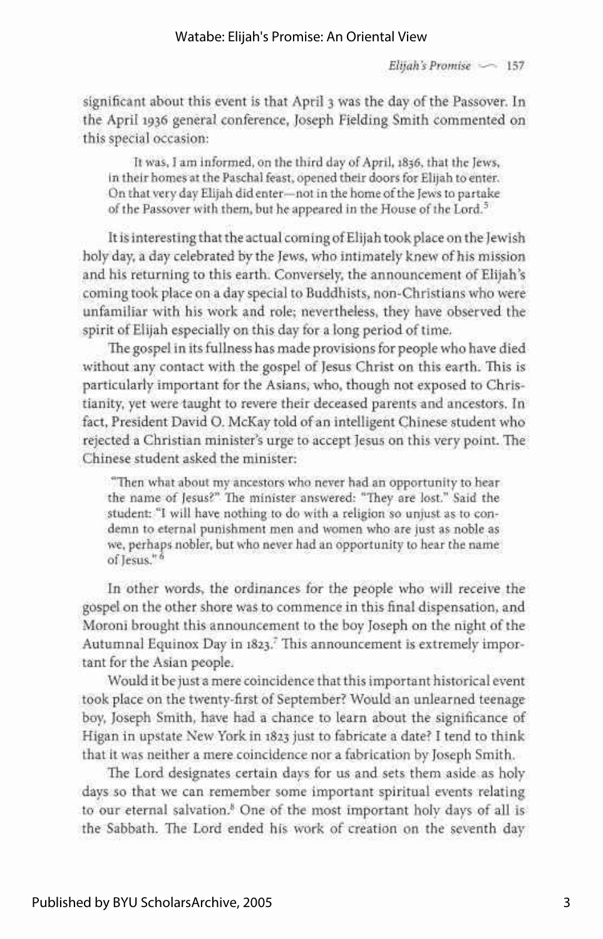*Elijah's Promise •*—• 157

significant about this event is that April 3 was the day of the Passover. In the April 1936 general conference, Joseph Fielding Smith commented on this special occasion:

It was, I am informed, on the third day of April, 1836, that the Jews, in their homes at the Paschal feast, opened their doors for Elijah to enter. On that very day Elijah did enter—not in the home of the Jews to partake of the Passover with them, but he appeared in the House of the Lord.<sup>5</sup>

It is interesting that the actual coming of Elijah took place on the Jewish holy day, a day celebrated by the Jews, who intimately knew of his mission and his returning to this earth. Conversely, the announcement of Elijah's coming took place on a day special to Buddhists, non-Christians who were unfamiliar with his work and role; nevertheless, they have observed the spirit of Elijah especially on this day for a long period of time.

The gospel in its fullness has made provisions for people who have died without any contact with the gospel of Jesus Christ on this earth. This is particularly important for the Asians, who, though not exposed to Christianity, yet were taught to revere their deceased parents and ancestors. In fact, President David O. McKay told of an intelligent Chinese student who rejected a Christian minister's urge to accept Jesus on this very point. The Chinese student asked the minister:

"Then what about my ancestors who never had an opportunity to hear the name of Jesus?" The minister answered: "They are lost." Said the student: "I will have nothing to do with a religion so unjust as to condemn to eternal punishment men and women who are just as noble as we, perhaps nobler, but who never had an opportunity to hear the name of Jesus."<sup>6</sup>

In other words, the ordinances for the people who will receive the gospel on the other shore was to commence in this final dispensation, and Moroni brought this announcement to the boy Joseph on the night of the Autumnal Equinox Day in 1823.<sup>7</sup> This announcement is extremely important for the Asian people.

Would it be just a mere coincidence that this important historical event took place on the twenty-first of September? Would an unlearned teenage boy, Joseph Smith, have had a chance to learn about the significance of Higan in upstate New York in 1823 just to fabricate a date? I tend to think that it was neither a mere coincidence nor a fabrication by Joseph Smith.

The Lord designates certain days for us and sets them aside as holy days so that we can remember some important spiritual events relating to our eternal salvation.<sup>8</sup> One of the most important holy days of all is the Sabbath. The Lord ended his work of creation on the seventh day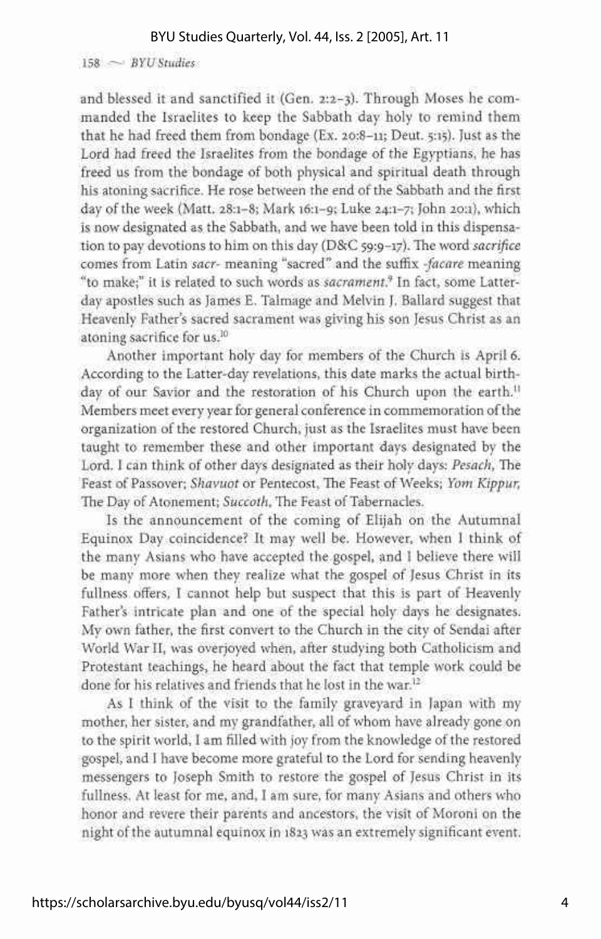$158 \sim BYU$  Studies

and blessed it and sanctified it (Gen. 2:2-3). Through Moses he commanded the Israelites to keep the Sabbath day holy to remind them that he had freed them from bondage (Ex. 20:8-11; Deut. 5:15). Just as the Lord had freed the Israelites from the bondage of the Egyptians, he has freed us from the bondage of both physical and spiritual death through his atoning sacrifice. He rose between the end of the Sabbath and the first day of the week (Matt. 28:1-8; Mark 16:1-9; Luke 24:1-7; John 20:1), which is now designated as the Sabbath, and we have been told in this dispensation to pay devotions to him on this day (D&C 59:9-17). The word *sacrifice*  comes from Latin *sacr-* meaning "sacred" and the suffix *-facare* meaning "to make;" it is related to such words as *sacrament.<sup>9</sup>* In fact, some Latterday apostles such as James E. Talmage and Melvin J. Ballard suggest that Heavenly Father's sacred sacrament was giving his son Jesus Christ as an atoning sacrifice for us.<sup>10</sup>

Another important holy day for members of the Church is April 6. According to the Latter-day revelations, this date marks the actual birthday of our Savior and the restoration of his Church upon the earth.<sup>11</sup> Members meet every year for general conference in commemoration of the organization of the restored Church, just as the Israelites must have been taught to remember these and other important days designated by the Lord. I can think of other days designated as their holy days: *Pesach,* The Feast of Passover; *Shavuot* or Pentecost, The Feast of Weeks; *Yom Kippur,*  The Day of Atonement; *Succoth,* The Feast of Tabernacles.

Is the announcement of the coming of Elijah on the Autumnal Equinox Day coincidence? It may well be. However, when I think of the many Asians who have accepted the gospel, and I believe there will be many more when they realize what the gospel of Jesus Christ in its fullness offers, I cannot help but suspect that this is part of Heavenly Father's intricate plan and one of the special holy days he designates. My own father, the first convert to the Church in the city of Sendai after World War II, was overjoyed when, after studying both Catholicism and Protestant teachings, he heard about the fact that temple work could be done for his relatives and friends that he lost in the war.<sup>12</sup>

As I think of the visit to the family graveyard in Japan with my mother, her sister, and my grandfather, all of whom have already gone on to the spirit world, I am filled with joy from the knowledge of the restored gospel, and I have become more grateful to the Lord for sending heavenly messengers to Joseph Smith to restore the gospel of Jesus Christ in its fullness. At least for me, and, I am sure, for many Asians and others who honor and revere their parents and ancestors, the visit of Moroni on the night of the autumnal equinox in 1823 was an extremely significant event.